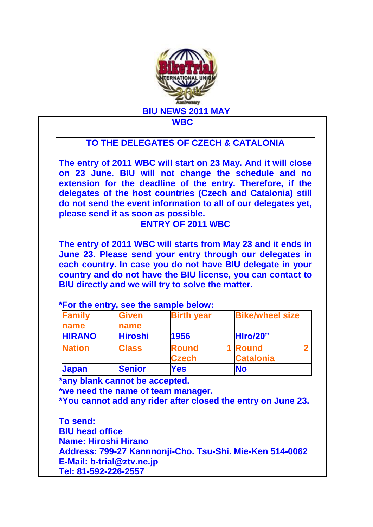

## **TO THE DELEGATES OF CZECH & CATALONIA**

**The entry of 2011 WBC will start on 23 May. And it will close on 23 June. BIU will not change the schedule and no extension for the deadline of the entry. Therefore, if the delegates of the host countries (Czech and Catalonia) still do not send the event information to all of our delegates yet, please send it as soon as possible.** 

## **ENTRY OF 2011 WBC**

**The entry of 2011 WBC will starts from May 23 and it ends in June 23. Please send your entry through our delegates in each country. In case you do not have BIU delegate in your country and do not have the BIU license, you can contact to BIU directly and we will try to solve the matter.** 

## **\*For the entry, see the sample below:**

| <b>Family</b> | <b>Given</b>   | <b>Birth year</b> | <b>Bike/wheel size</b> |
|---------------|----------------|-------------------|------------------------|
| name          | name           |                   |                        |
| <b>HIRANO</b> | <b>Hiroshi</b> | 1956              | Hiro/20"               |
| <b>Nation</b> | <b>Class</b>   | <b>Round</b>      | 1 Round                |
|               |                | <b>Czech</b>      | <b>Catalonia</b>       |
| <b>Japan</b>  | <b>Senior</b>  | Yes               | <b>No</b>              |

**\*any blank cannot be accepted.**

**\*we need the name of team manager.**

**\*You cannot add any rider after closed the entry on June 23.**

**To send: BIU head office Name: Hiroshi Hirano Address: 799-27 Kannnonji-Cho. Tsu-Shi. Mie-Ken 514-0062 E-Mail: [b-trial@ztv.ne.jp](mailto:b-trial@ztv.ne.jp) Tel: 81-592-226-2557**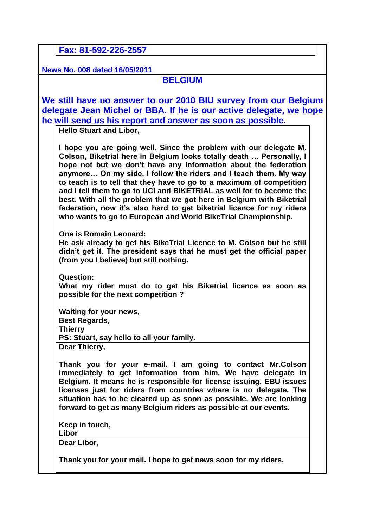**Fax: 81-592-226-2557**

**News No. 008 dated 16/05/2011**

## **BELGIUM**

**We still have no answer to our 2010 BIU survey from our Belgium delegate Jean Michel or BBA. If he is our active delegate, we hope he will send us his report and answer as soon as possible.**

**Hello Stuart and Libor,**

**I hope you are going well. Since the problem with our delegate M. Colson, Biketrial here in Belgium looks totally death … Personally, I hope not but we don't have any information about the federation anymore… On my side, I follow the riders and I teach them. My way to teach is to tell that they have to go to a maximum of competition and I tell them to go to UCI and BIKETRIAL as well for to become the best. With all the problem that we got here in Belgium with Biketrial federation, now it's also hard to get biketrial licence for my riders who wants to go to European and World BikeTrial Championship.** 

**One is Romain Leonard:**

**He ask already to get his BikeTrial Licence to M. Colson but he still didn't get it. The president says that he must get the official paper (from you I believe) but still nothing.** 

**Question: What my rider must do to get his Biketrial licence as soon as possible for the next competition ?**

**Waiting for your news, Best Regards, Thierry PS: Stuart, say hello to all your family. Dear Thierry,**

**Thank you for your e-mail. I am going to contact Mr.Colson immediately to get information from him. We have delegate in Belgium. It means he is responsible for license issuing. EBU issues licenses just for riders from countries where is no delegate. The situation has to be cleared up as soon as possible. We are looking forward to get as many Belgium riders as possible at our events.**

**Keep in touch,**

**Libor**

**Dear Libor,**

**Thank you for your mail. I hope to get news soon for my riders.**